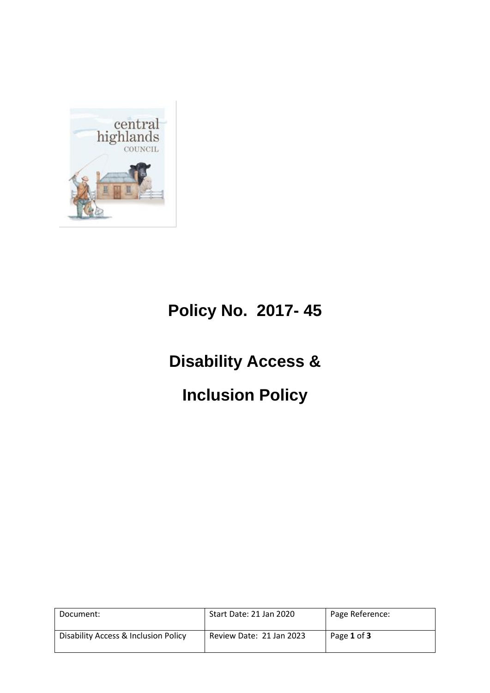

# **Policy No. 2017- 45**

# **Disability Access &**

# **Inclusion Policy**

| Document:                            | Start Date: 21 Jan 2020  | Page Reference: |
|--------------------------------------|--------------------------|-----------------|
| Disability Access & Inclusion Policy | Review Date: 21 Jan 2023 | Page 1 of 3     |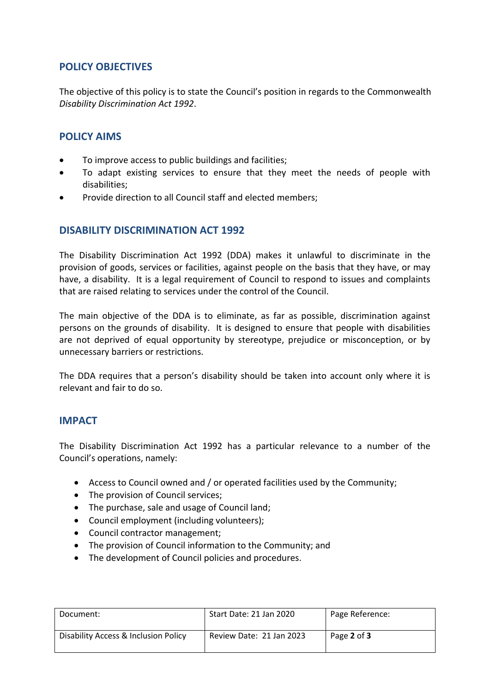### **POLICY OBJECTIVES**

The objective of this policy is to state the Council's position in regards to the Commonwealth *Disability Discrimination Act 1992*.

### **POLICY AIMS**

- To improve access to public buildings and facilities;
- To adapt existing services to ensure that they meet the needs of people with disabilities;
- Provide direction to all Council staff and elected members;

#### **DISABILITY DISCRIMINATION ACT 1992**

The Disability Discrimination Act 1992 (DDA) makes it unlawful to discriminate in the provision of goods, services or facilities, against people on the basis that they have, or may have, a disability. It is a legal requirement of Council to respond to issues and complaints that are raised relating to services under the control of the Council.

The main objective of the DDA is to eliminate, as far as possible, discrimination against persons on the grounds of disability. It is designed to ensure that people with disabilities are not deprived of equal opportunity by stereotype, prejudice or misconception, or by unnecessary barriers or restrictions.

The DDA requires that a person's disability should be taken into account only where it is relevant and fair to do so.

#### **IMPACT**

The Disability Discrimination Act 1992 has a particular relevance to a number of the Council's operations, namely:

- Access to Council owned and / or operated facilities used by the Community;
- The provision of Council services:
- The purchase, sale and usage of Council land;
- Council employment (including volunteers);
- Council contractor management;
- The provision of Council information to the Community; and
- The development of Council policies and procedures.

| Document:                            | Start Date: 21 Jan 2020  | Page Reference: |
|--------------------------------------|--------------------------|-----------------|
| Disability Access & Inclusion Policy | Review Date: 21 Jan 2023 | Page 2 of 3     |